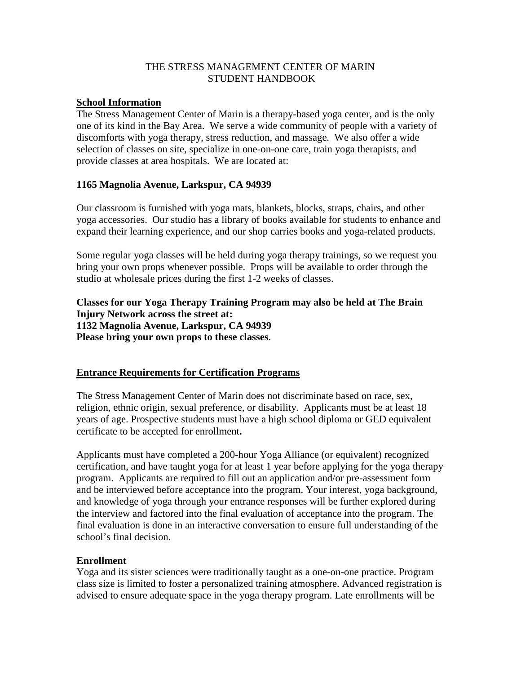## THE STRESS MANAGEMENT CENTER OF MARIN STUDENT HANDBOOK

#### **School Information**

The Stress Management Center of Marin is a therapy-based yoga center, and is the only one of its kind in the Bay Area. We serve a wide community of people with a variety of discomforts with yoga therapy, stress reduction, and massage. We also offer a wide selection of classes on site, specialize in one-on-one care, train yoga therapists, and provide classes at area hospitals. We are located at:

## **1165 Magnolia Avenue, Larkspur, CA 94939**

Our classroom is furnished with yoga mats, blankets, blocks, straps, chairs, and other yoga accessories. Our studio has a library of books available for students to enhance and expand their learning experience, and our shop carries books and yoga-related products.

Some regular yoga classes will be held during yoga therapy trainings, so we request you bring your own props whenever possible. Props will be available to order through the studio at wholesale prices during the first 1-2 weeks of classes.

## **Classes for our Yoga Therapy Training Program may also be held at The Brain Injury Network across the street at: 1132 Magnolia Avenue, Larkspur, CA 94939 Please bring your own props to these classes**.

## **Entrance Requirements for Certification Programs**

The Stress Management Center of Marin does not discriminate based on race, sex, religion, ethnic origin, sexual preference, or disability. Applicants must be at least 18 years of age. Prospective students must have a high school diploma or GED equivalent certificate to be accepted for enrollment**.**

Applicants must have completed a 200-hour Yoga Alliance (or equivalent) recognized certification, and have taught yoga for at least 1 year before applying for the yoga therapy program. Applicants are required to fill out an application and/or pre-assessment form and be interviewed before acceptance into the program. Your interest, yoga background, and knowledge of yoga through your entrance responses will be further explored during the interview and factored into the final evaluation of acceptance into the program. The final evaluation is done in an interactive conversation to ensure full understanding of the school's final decision.

## **Enrollment**

Yoga and its sister sciences were traditionally taught as a one-on-one practice. Program class size is limited to foster a personalized training atmosphere. Advanced registration is advised to ensure adequate space in the yoga therapy program. Late enrollments will be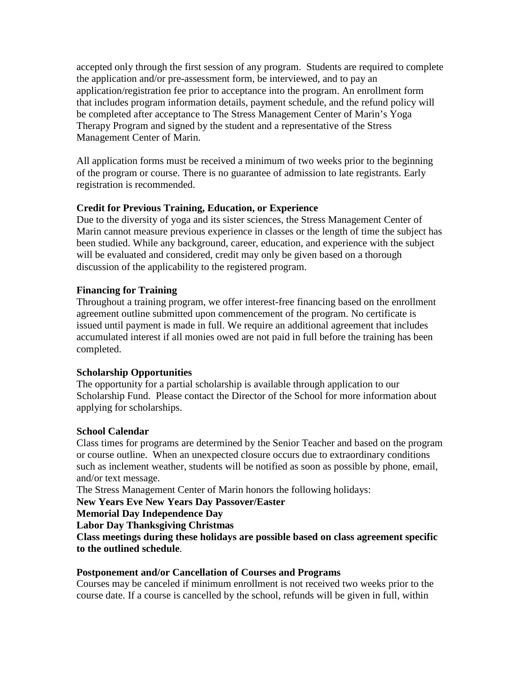accepted only through the first session of any program. Students are required to complete the application and/or pre-assessment form, be interviewed, and to pay an application/registration fee prior to acceptance into the program. An enrollment form that includes program information details, payment schedule, and the refund policy will be completed after acceptance to The Stress Management Center of Marin's Yoga Therapy Program and signed by the student and a representative of the Stress Management Center of Marin.

All application forms must be received a minimum of two weeks prior to the beginning of the program or course. There is no guarantee of admission to late registrants. Early registration is recommended.

# **Credit for Previous Training, Education, or Experience**

Due to the diversity of yoga and its sister sciences, the Stress Management Center of Marin cannot measure previous experience in classes or the length of time the subject has been studied. While any background, career, education, and experience with the subject will be evaluated and considered, credit may only be given based on a thorough discussion of the applicability to the registered program.

## **Financing for Training**

Throughout a training program, we offer interest-free financing based on the enrollment agreement outline submitted upon commencement of the program. No certificate is issued until payment is made in full. We require an additional agreement that includes accumulated interest if all monies owed are not paid in full before the training has been completed.

# **Scholarship Opportunities**

The opportunity for a partial scholarship is available through application to our Scholarship Fund. Please contact the Director of the School for more information about applying for scholarships.

## **School Calendar**

Class times for programs are determined by the Senior Teacher and based on the program or course outline. When an unexpected closure occurs due to extraordinary conditions such as inclement weather, students will be notified as soon as possible by phone, email, and/or text message.

The Stress Management Center of Marin honors the following holidays:

## **New Years Eve New Years Day Passover/Easter**

**Memorial Day Independence Day**

**Labor Day Thanksgiving Christmas**

**Class meetings during these holidays are possible based on class agreement specific to the outlined schedule**.

## **Postponement and/or Cancellation of Courses and Programs**

Courses may be canceled if minimum enrollment is not received two weeks prior to the course date. If a course is cancelled by the school, refunds will be given in full, within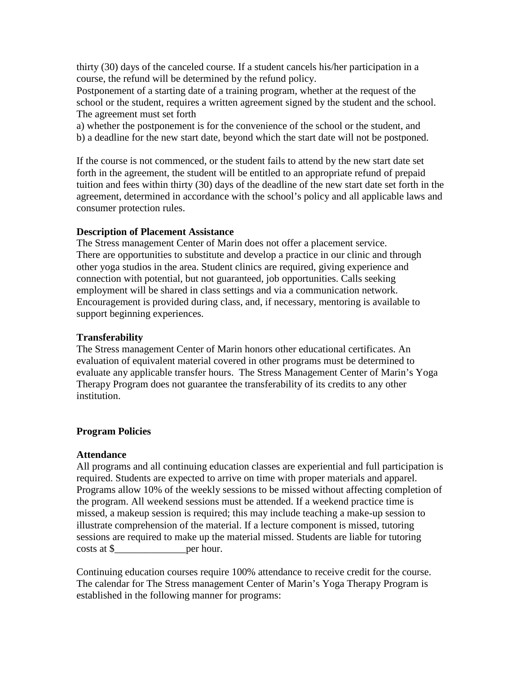thirty (30) days of the canceled course. If a student cancels his/her participation in a course, the refund will be determined by the refund policy.

Postponement of a starting date of a training program, whether at the request of the school or the student, requires a written agreement signed by the student and the school. The agreement must set forth

a) whether the postponement is for the convenience of the school or the student, and b) a deadline for the new start date, beyond which the start date will not be postponed.

If the course is not commenced, or the student fails to attend by the new start date set forth in the agreement, the student will be entitled to an appropriate refund of prepaid tuition and fees within thirty (30) days of the deadline of the new start date set forth in the agreement, determined in accordance with the school's policy and all applicable laws and consumer protection rules.

## **Description of Placement Assistance**

The Stress management Center of Marin does not offer a placement service. There are opportunities to substitute and develop a practice in our clinic and through other yoga studios in the area. Student clinics are required, giving experience and connection with potential, but not guaranteed, job opportunities. Calls seeking employment will be shared in class settings and via a communication network. Encouragement is provided during class, and, if necessary, mentoring is available to support beginning experiences.

## **Transferability**

The Stress management Center of Marin honors other educational certificates. An evaluation of equivalent material covered in other programs must be determined to evaluate any applicable transfer hours. The Stress Management Center of Marin's Yoga Therapy Program does not guarantee the transferability of its credits to any other institution.

# **Program Policies**

## **Attendance**

All programs and all continuing education classes are experiential and full participation is required. Students are expected to arrive on time with proper materials and apparel. Programs allow 10% of the weekly sessions to be missed without affecting completion of the program. All weekend sessions must be attended. If a weekend practice time is missed, a makeup session is required; this may include teaching a make-up session to illustrate comprehension of the material. If a lecture component is missed, tutoring sessions are required to make up the material missed. Students are liable for tutoring costs at \$\_\_\_\_\_\_\_\_\_\_\_\_\_\_per hour.

Continuing education courses require 100% attendance to receive credit for the course. The calendar for The Stress management Center of Marin's Yoga Therapy Program is established in the following manner for programs: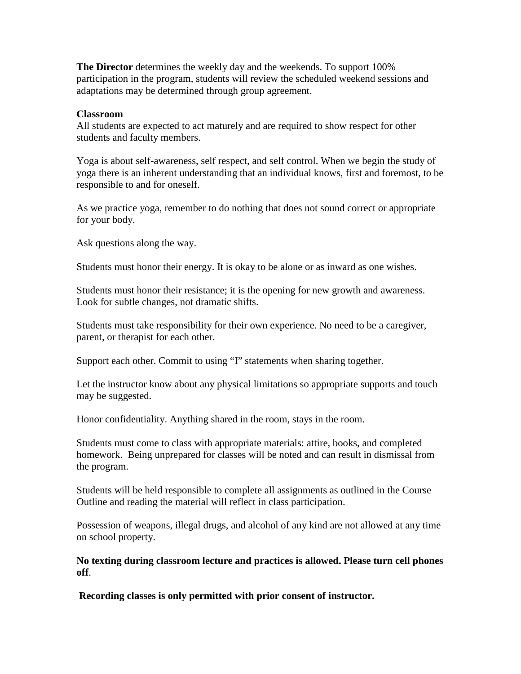**The Director** determines the weekly day and the weekends. To support 100% participation in the program, students will review the scheduled weekend sessions and adaptations may be determined through group agreement.

#### **Classroom**

All students are expected to act maturely and are required to show respect for other students and faculty members.

Yoga is about self-awareness, self respect, and self control. When we begin the study of yoga there is an inherent understanding that an individual knows, first and foremost, to be responsible to and for oneself.

As we practice yoga, remember to do nothing that does not sound correct or appropriate for your body.

Ask questions along the way.

Students must honor their energy. It is okay to be alone or as inward as one wishes.

Students must honor their resistance; it is the opening for new growth and awareness. Look for subtle changes, not dramatic shifts.

Students must take responsibility for their own experience. No need to be a caregiver, parent, or therapist for each other.

Support each other. Commit to using "I" statements when sharing together.

Let the instructor know about any physical limitations so appropriate supports and touch may be suggested.

Honor confidentiality. Anything shared in the room, stays in the room.

Students must come to class with appropriate materials: attire, books, and completed homework. Being unprepared for classes will be noted and can result in dismissal from the program.

Students will be held responsible to complete all assignments as outlined in the Course Outline and reading the material will reflect in class participation.

Possession of weapons, illegal drugs, and alcohol of any kind are not allowed at any time on school property.

**No texting during classroom lecture and practices is allowed. Please turn cell phones off**.

**Recording classes is only permitted with prior consent of instructor.**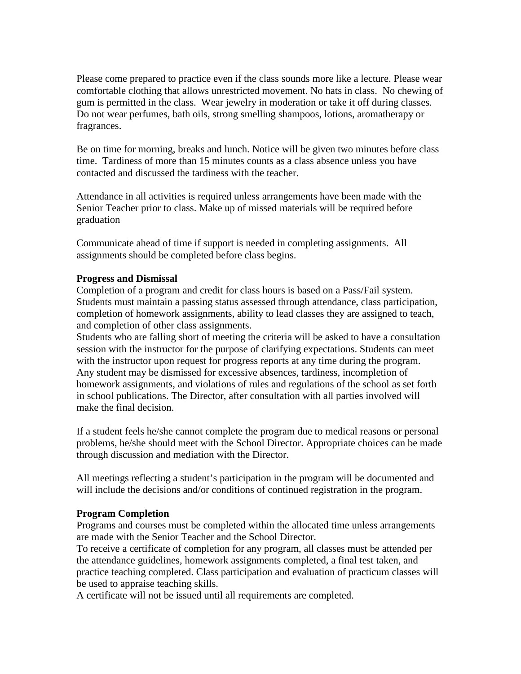Please come prepared to practice even if the class sounds more like a lecture. Please wear comfortable clothing that allows unrestricted movement. No hats in class. No chewing of gum is permitted in the class. Wear jewelry in moderation or take it off during classes. Do not wear perfumes, bath oils, strong smelling shampoos, lotions, aromatherapy or fragrances.

Be on time for morning, breaks and lunch. Notice will be given two minutes before class time. Tardiness of more than 15 minutes counts as a class absence unless you have contacted and discussed the tardiness with the teacher.

Attendance in all activities is required unless arrangements have been made with the Senior Teacher prior to class. Make up of missed materials will be required before graduation

Communicate ahead of time if support is needed in completing assignments. All assignments should be completed before class begins.

## **Progress and Dismissal**

Completion of a program and credit for class hours is based on a Pass/Fail system. Students must maintain a passing status assessed through attendance, class participation, completion of homework assignments, ability to lead classes they are assigned to teach, and completion of other class assignments.

Students who are falling short of meeting the criteria will be asked to have a consultation session with the instructor for the purpose of clarifying expectations. Students can meet with the instructor upon request for progress reports at any time during the program. Any student may be dismissed for excessive absences, tardiness, incompletion of homework assignments, and violations of rules and regulations of the school as set forth in school publications. The Director, after consultation with all parties involved will make the final decision.

If a student feels he/she cannot complete the program due to medical reasons or personal problems, he/she should meet with the School Director. Appropriate choices can be made through discussion and mediation with the Director.

All meetings reflecting a student's participation in the program will be documented and will include the decisions and/or conditions of continued registration in the program.

## **Program Completion**

Programs and courses must be completed within the allocated time unless arrangements are made with the Senior Teacher and the School Director.

To receive a certificate of completion for any program, all classes must be attended per the attendance guidelines, homework assignments completed, a final test taken, and practice teaching completed. Class participation and evaluation of practicum classes will be used to appraise teaching skills.

A certificate will not be issued until all requirements are completed.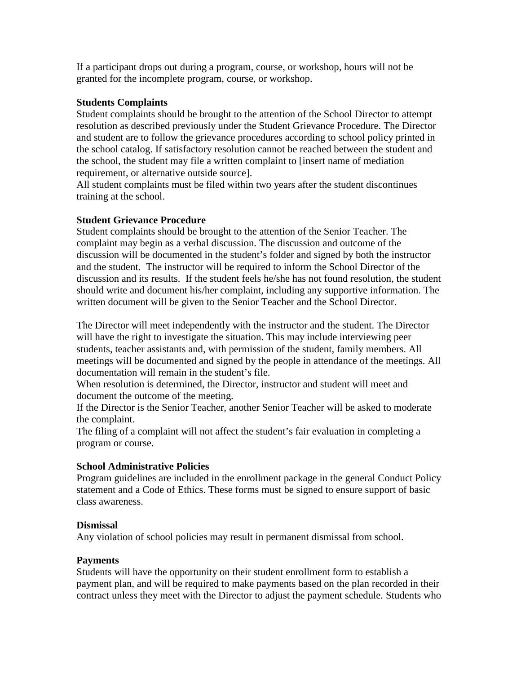If a participant drops out during a program, course, or workshop, hours will not be granted for the incomplete program, course, or workshop.

## **Students Complaints**

Student complaints should be brought to the attention of the School Director to attempt resolution as described previously under the Student Grievance Procedure. The Director and student are to follow the grievance procedures according to school policy printed in the school catalog. If satisfactory resolution cannot be reached between the student and the school, the student may file a written complaint to [insert name of mediation requirement, or alternative outside source].

All student complaints must be filed within two years after the student discontinues training at the school.

# **Student Grievance Procedure**

Student complaints should be brought to the attention of the Senior Teacher. The complaint may begin as a verbal discussion. The discussion and outcome of the discussion will be documented in the student's folder and signed by both the instructor and the student. The instructor will be required to inform the School Director of the discussion and its results. If the student feels he/she has not found resolution, the student should write and document his/her complaint, including any supportive information. The written document will be given to the Senior Teacher and the School Director.

The Director will meet independently with the instructor and the student. The Director will have the right to investigate the situation. This may include interviewing peer students, teacher assistants and, with permission of the student, family members. All meetings will be documented and signed by the people in attendance of the meetings. All documentation will remain in the student's file.

When resolution is determined, the Director, instructor and student will meet and document the outcome of the meeting.

If the Director is the Senior Teacher, another Senior Teacher will be asked to moderate the complaint.

The filing of a complaint will not affect the student's fair evaluation in completing a program or course.

# **School Administrative Policies**

Program guidelines are included in the enrollment package in the general Conduct Policy statement and a Code of Ethics. These forms must be signed to ensure support of basic class awareness.

## **Dismissal**

Any violation of school policies may result in permanent dismissal from school.

# **Payments**

Students will have the opportunity on their student enrollment form to establish a payment plan, and will be required to make payments based on the plan recorded in their contract unless they meet with the Director to adjust the payment schedule. Students who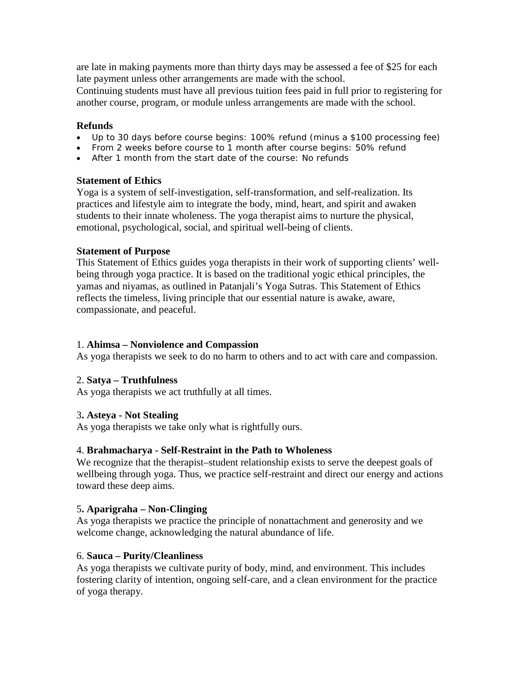are late in making payments more than thirty days may be assessed a fee of \$25 for each late payment unless other arrangements are made with the school.

Continuing students must have all previous tuition fees paid in full prior to registering for another course, program, or module unless arrangements are made with the school.

## **Refunds**

- Up to 30 days before course begins: 100% refund (minus a \$100 processing fee)
- From 2 weeks before course to 1 month after course begins: 50% refund
- After 1 month from the start date of the course: No refunds

# **Statement of Ethics**

Yoga is a system of self-investigation, self-transformation, and self-realization. Its practices and lifestyle aim to integrate the body, mind, heart, and spirit and awaken students to their innate wholeness. The yoga therapist aims to nurture the physical, emotional, psychological, social, and spiritual well-being of clients.

# **Statement of Purpose**

This Statement of Ethics guides yoga therapists in their work of supporting clients' wellbeing through yoga practice. It is based on the traditional yogic ethical principles, the yamas and niyamas, as outlined in Patanjali's Yoga Sutras. This Statement of Ethics reflects the timeless, living principle that our essential nature is awake, aware, compassionate, and peaceful.

# 1. **Ahimsa – Nonviolence and Compassion**

As yoga therapists we seek to do no harm to others and to act with care and compassion.

# 2. **Satya – Truthfulness**

As yoga therapists we act truthfully at all times.

# 3**. Asteya - Not Stealing**

As yoga therapists we take only what is rightfully ours.

# 4. **Brahmacharya - Self-Restraint in the Path to Wholeness**

We recognize that the therapist–student relationship exists to serve the deepest goals of wellbeing through yoga. Thus, we practice self-restraint and direct our energy and actions toward these deep aims.

# 5**. Aparigraha – Non-Clinging**

As yoga therapists we practice the principle of nonattachment and generosity and we welcome change, acknowledging the natural abundance of life.

# 6. **Sauca – Purity/Cleanliness**

As yoga therapists we cultivate purity of body, mind, and environment. This includes fostering clarity of intention, ongoing self-care, and a clean environment for the practice of yoga therapy.